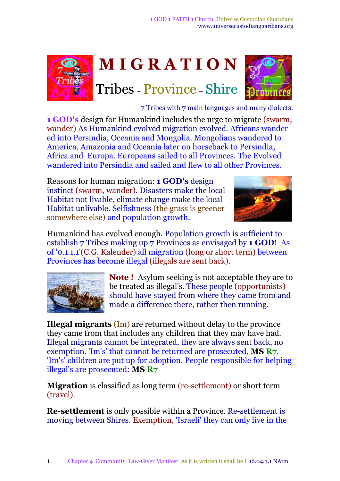



**7** Tribes with **7** main languages and many dialects.

**1 GOD's** design for Humankind includes the urge to migrate (swarm, wander) As Humankind evolved migration evolved. Africans wander ed into Persindia, Oceania and Mongolia. Mongolians wandered to America, Amazonia and Oceania later on horseback to Persindia, Africa and Europa. Europeans sailed to all Provinces. The Evolved wandered into Persindia and sailed and flew to all other Provinces.

Reasons for human migration: **1 GOD's** design instinct (swarm, wander). Disasters make the local Habitat not livable, climate change make the local Habitat unlivable. Selfishness (the grass is greener somewhere else) and population growth.



Humankind has evolved enough. Population growth is sufficient to establish 7 Tribes making up 7 Provinces as envisaged by **1 GOD**! As of '0.1.1.1'(C.G. Kalender) all migration (long or short term) between Provinces has become illegal (illegals are sent back).



**Note !** Asylum seeking is not acceptable they are to be treated as illegal's. These people (opportunists) should have stayed from where they came from and made a difference there, rather then running.

**Illegal migrants** (Im) are returned without delay to the province they came from that includes any children that they may have had. Illegal migrants cannot be integrated, they are always sent back, no exemption. 'Im's' that cannot be returned are prosecuted, **MS R7**. 'Im's' children are put up for adoption. People responsible for helping illegal's are prosecuted: **MS R7**

**Migration** is classified as long term (re-settlement) or short term (travel).

**Re-settlement** is only possible within a Province. Re-settlement is moving between Shires. Exemption*,* 'Israeli' they can only live in the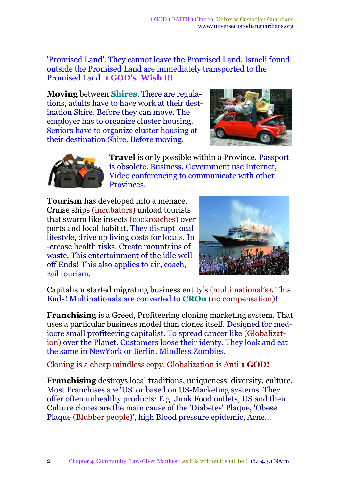'Promised Land'. They cannot leave the Promised Land. Israeli found outside the Promised Land are immediately transported to the Promised Land. **1 GOD's Wish !!!**

**Moving** between **Shires**. There are regulations, adults have to have work at their destination Shire. Before they can move. The employer has to organize cluster housing. Seniors have to organize cluster housing at their destination Shire. Before moving.





**Travel** is only possible within a Province*.* Passport is obsolete. Business, Government use Internet, Video conferencing to communicate with other Provinces.

**Tourism** has developed into a menace. Cruise ships (incubators) unload tourists that swarm like insects (cockroaches) over ports and local habitat. They disrupt local lifestyle, drive up living costs for locals. In -crease health risks. Create mountains of waste. This entertainment of the idle well off Ends! This also applies to air, coach, rail tourism.



Capitalism started migrating business entity's (multi national's). This Ends! Multinationals are converted to **CROn** (no compensation)!

**Franchising** is a Greed, Profiteering cloning marketing system. That uses a particular business model than clones itself. Designed for mediocre small profiteering capitalist. To spread cancer like (Globalization) over the Planet. Customers loose their identy. They look and eat the same in NewYork or Berlin. Mindless Zombies.

Cloning is a cheap mindless copy. Globalization is Anti **1 GOD!**

**Franchising** destroys local traditions, uniqueness, diversity, culture. Most Franchises are 'US' or based on US-Marketing systems. They offer often unhealthy products: E.g. Junk Food outlets, US and their Culture clones are the main cause of the 'Diabetes' Plaque, 'Obese Plaque (Blubber people)', high Blood pressure epidemic, Acne...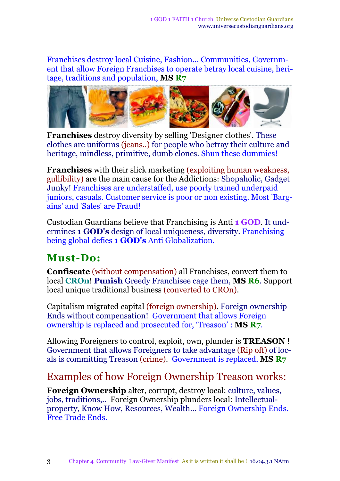Franchises destroy local Cuisine, Fashion... Communities, Government that allow Foreign Franchises to operate betray local cuisine, heritage, traditions and population, **MS R7**



**Franchises** destroy diversity by selling 'Designer clothes'. These clothes are uniforms (jeans..) for people who betray their culture and heritage, mindless, primitive, dumb clones. Shun these dummies!

**Franchises** with their slick marketing (exploiting human weakness, gullibility) are the main cause for the Addictions: Shopaholic, Gadget Junky! Franchises are understaffed, use poorly trained underpaid juniors, casuals. Customer service is poor or non existing. Most 'Bargains' and 'Sales' are Fraud!

Custodian Guardians believe that Franchising is Anti **1 GOD**. It undermines **1 GOD's** design of local uniqueness, diversity. Franchising being global defies **1 GOD's** Anti Globalization.

### **Must-Do:**

**Confiscate** (without compensation) all Franchises, convert them to local **CROn**! **Punish** Greedy Franchisee cage them, **MS R6**. Support local unique traditional business (converted to CROn).

Capitalism migrated capital (foreign ownership). Foreign ownership Ends without compensation! Government that allows Foreign ownership is replaced and prosecuted for, 'Treason' : **MS R7**.

Allowing Foreigners to control, exploit, own, plunder is **TREASON** ! Government that allows Foreigners to take advantage (Rip off) of locals is committing Treason (crime)*.* Government is replaced, **MS R7**

#### Examples of how Foreign Ownership Treason works:

**Foreign Ownership** alter, corrupt, destroy local: culture, values, jobs, traditions,*..* Foreign Ownership plunders local: Intellectualproperty, Know How, Resources, Wealth..*.* Foreign Ownership Ends. Free Trade Ends.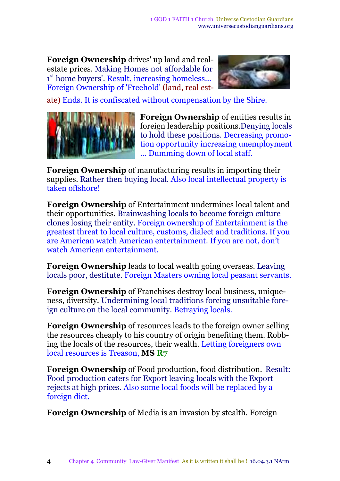**Foreign Ownership** drives' up land and realestate prices. Making Homes not affordable for 1<sup>st</sup> home buyers'. Result, increasing homeless... Foreign Ownership of 'Freehold' (land, real est-



ate) Ends. It is confiscated without compensation by the Shire.



**Foreign Ownership** of entities results in foreign leadership positions.Denying locals to hold these positions. Decreasing promotion opportunity increasing unemployment ... Dumming down of local staff.

**Foreign Ownership** of manufacturing results in importing their supplies. Rather then buying local. Also local intellectual property is taken offshore!

**Foreign Ownership** of Entertainment undermines local talent and their opportunities. Brainwashing locals to become foreign culture clones losing their entity. Foreign ownership of Entertainment is the greatest threat to local culture, customs, dialect and traditions. If you are American watch American entertainment. If you are not, don't watch American entertainment.

**Foreign Ownership** leads to local wealth going overseas. Leaving locals poor, destitute. Foreign Masters owning local peasant servants.

**Foreign Ownership** of Franchises destroy local business, uniqueness, diversity. Undermining local traditions forcing unsuitable foreign culture on the local community. Betraying locals.

**Foreign Ownership** of resources leads to the foreign owner selling the resources cheaply to his country of origin benefiting them. Robbing the locals of the resources, their wealth. Letting foreigners own local resources is Treason, **MS R7**

**Foreign Ownership** of Food production, food distribution. Result: Food production caters for Export leaving locals with the Export rejects at high prices. Also some local foods will be replaced by a foreign diet.

**Foreign Ownership** of Media is an invasion by stealth. Foreign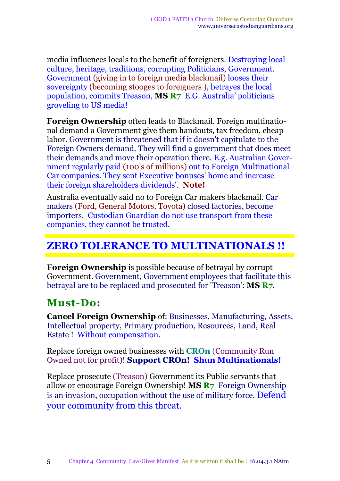media influences locals to the benefit of foreigners. Destroying local culture, heritage, traditions, corrupting Politicians, Government. Government (giving in to foreign media blackmail) looses their sovereignty (becoming stooges to foreigners ), betrayes the local population, commits Treason, **MS R7** E.G. Australia' politicians groveling to US media!

**Foreign Ownership** often leads to Blackmail. Foreign multinational demand a Government give them handouts, tax freedom, cheap labor. Government is threatened that if it doesn't capitulate to the Foreign Owners demand. They will find a government that does meet their demands and move their operation there. E.g. Australian Government regularly paid (100's of millions) out to Foreign Multinational Car companies. They sent Executive bonuses' home and increase their foreign shareholders dividends'. **Note!**

Australia eventually said no to Foreign Car makers blackmail. Car makers (Ford, General Motors, Toyota) closed factories, become importers. Custodian Guardian do not use transport from these companies, they cannot be trusted.

#### **ZERO TOLERANCE TO MULTINATIONALS !!**

**Foreign Ownership** is possible because of betrayal by corrupt Government. Government, Government employees that facilitate this betrayal are to be replaced and prosecuted for 'Treason': **MS R7**.

#### **Must-Do:**

**Cancel Foreign Ownership** of: Businesses, Manufacturing, Assets, Intellectual property, Primary production, Resources, Land, Real Estate ! Without compensation.

Replace foreign owned businesses with **CROn** (Community Run Owned not for profit)! **Support CROn! Shun Multinationals!**

Replace prosecute (Treason) Government its Public servants that allow or encourage Foreign Ownership! **MS R7** Foreign Ownership is an invasion, occupation without the use of military force. Defend your community from this threat.